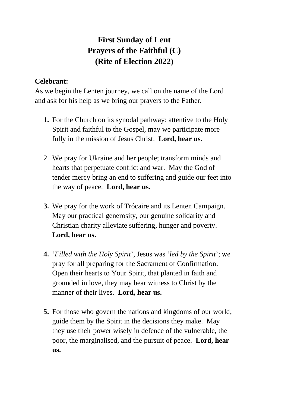## **First Sunday of Lent Prayers of the Faithful (C) (Rite of Election 2022)**

## **Celebrant:**

As we begin the Lenten journey, we call on the name of the Lord and ask for his help as we bring our prayers to the Father.

- **1.** For the Church on its synodal pathway: attentive to the Holy Spirit and faithful to the Gospel, may we participate more fully in the mission of Jesus Christ. **Lord, hear us.**
- 2. We pray for Ukraine and her people; transform minds and hearts that perpetuate conflict and war. May the God of tender mercy bring an end to suffering and guide our feet into the way of peace. **Lord, hear us.**
- **3.** We pray for the work of Trócaire and its Lenten Campaign. May our practical generosity, our genuine solidarity and Christian charity alleviate suffering, hunger and poverty. **Lord, hear us.**
- **4.** '*Filled with the Holy Spirit*', Jesus was '*led by the Spirit*'; we pray for all preparing for the Sacrament of Confirmation. Open their hearts to Your Spirit, that planted in faith and grounded in love, they may bear witness to Christ by the manner of their lives. **Lord, hear us.**
- **5.** For those who govern the nations and kingdoms of our world; guide them by the Spirit in the decisions they make. May they use their power wisely in defence of the vulnerable, the poor, the marginalised, and the pursuit of peace. **Lord, hear us.**